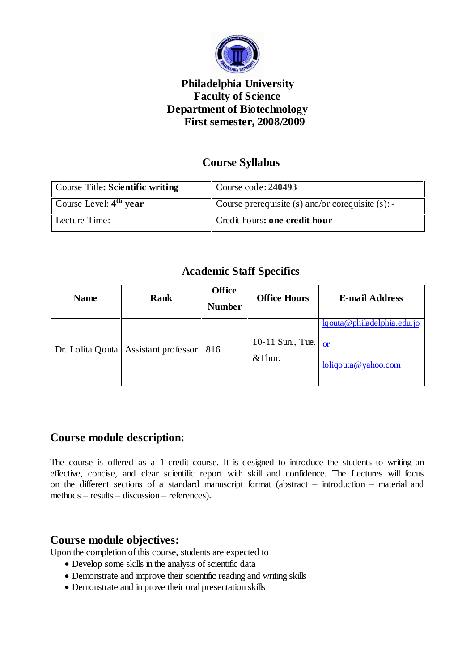

## **Philadelphia University Faculty of Science Department of Biotechnology First semester, 2008/2009**

# **Course Syllabus**

| Course Title: Scientific writing | Course code: 240493                                  |
|----------------------------------|------------------------------------------------------|
| Course Level: $4th$ year         | Course prerequisite $(s)$ and/or corequisite $(s)$ : |
| Lecture Time:                    | Credit hours: one credit hour                        |

## **Academic Staff Specifics**

| <b>Name</b>      | Rank                | <b>Office</b><br><b>Number</b> | <b>Office Hours</b>        | <b>E-mail Address</b>                                         |
|------------------|---------------------|--------------------------------|----------------------------|---------------------------------------------------------------|
| Dr. Lolita Qouta | Assistant professor | 816                            | 10-11 Sun., Tue.<br>&Thur. | lqouta@philadelphia.edu.jo<br>$\alpha$<br>loliqouta@yahoo.com |

### **Course module description:**

The course is offered as a 1-credit course. It is designed to introduce the students to writing an effective, concise, and clear scientific report with skill and confidence. The Lectures will focus on the different sections of a standard manuscript format (abstract  $-$  introduction  $-$  material and  $methods – results – discussion – references).$ 

### **Course module objectives:**

Upon the completion of this course, students are expected to

- Develop some skills in the analysis of scientific data
- Demonstrate and improve their scientific reading and writing skills
- Demonstrate and improve their oral presentation skills